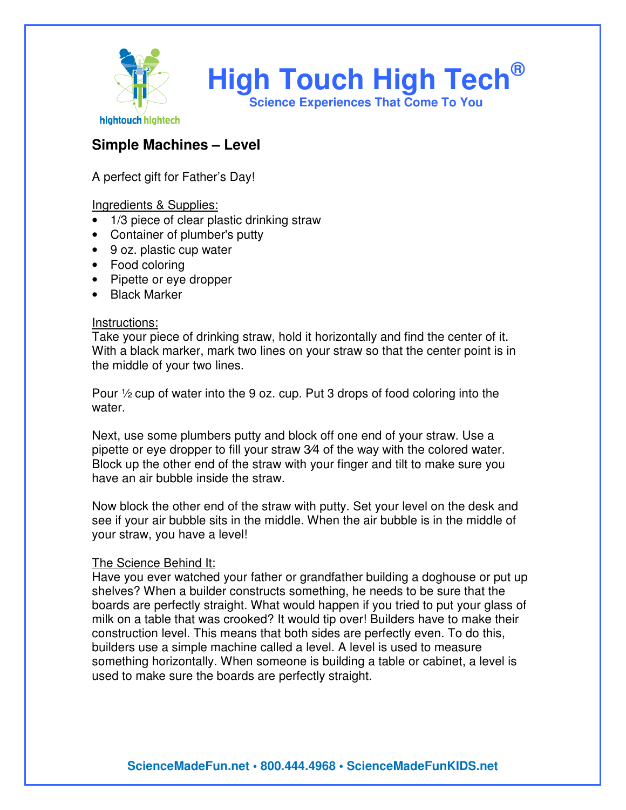

## **Simple Machines – Level**

A perfect gift for Father's Day!

Ingredients & Supplies:

- 1/3 piece of clear plastic drinking straw
- Container of plumber's putty
- 9 oz. plastic cup water
- Food coloring
- Pipette or eye dropper
- Black Marker

## Instructions:

Take your piece of drinking straw, hold it horizontally and find the center of it. With a black marker, mark two lines on your straw so that the center point is in the middle of your two lines.

Pour ½ cup of water into the 9 oz. cup. Put 3 drops of food coloring into the water.

Next, use some plumbers putty and block off one end of your straw. Use a pipette or eye dropper to fill your straw 3⁄4 of the way with the colored water. Block up the other end of the straw with your finger and tilt to make sure you have an air bubble inside the straw.

Now block the other end of the straw with putty. Set your level on the desk and see if your air bubble sits in the middle. When the air bubble is in the middle of your straw, you have a level!

## The Science Behind It:

Have you ever watched your father or grandfather building a doghouse or put up shelves? When a builder constructs something, he needs to be sure that the boards are perfectly straight. What would happen if you tried to put your glass of milk on a table that was crooked? It would tip over! Builders have to make their construction level. This means that both sides are perfectly even. To do this, builders use a simple machine called a level. A level is used to measure something horizontally. When someone is building a table or cabinet, a level is used to make sure the boards are perfectly straight.